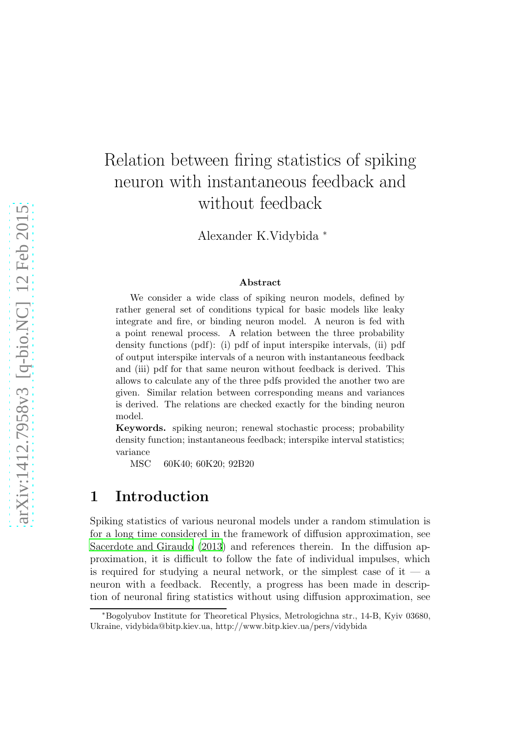# Relation between firing statistics of spiking neuron with instantaneous feedback and without feedback

Alexander K.Vidybida <sup>∗</sup>

#### Abstract

We consider a wide class of spiking neuron models, defined by rather general set of conditions typical for basic models like leaky integrate and fire, or binding neuron model. A neuron is fed with a point renewal process. A relation between the three probability density functions (pdf): (i) pdf of input interspike intervals, (ii) pdf of output interspike intervals of a neuron with instantaneous feedback and (iii) pdf for that same neuron without feedback is derived. This allows to calculate any of the three pdfs provided the another two are given. Similar relation between corresponding means and variances is derived. The relations are checked exactly for the binding neuron model.

Keywords. spiking neuron; renewal stochastic process; probability density function; instantaneous feedback; interspike interval statistics; variance

MSC 60K40; 60K20; 92B20

### 1 Introduction

Spiking statistics of various neuronal models under a random stimulation is for a long time considered in the framework of diffusion approximation, see [Sacerdote and Giraudo \(2013\)](#page-6-0) and references therein. In the diffusion approximation, it is difficult to follow the fate of individual impulses, which is required for studying a neural network, or the simplest case of it  $-$  a neuron with a feedback. Recently, a progress has been made in description of neuronal firing statistics without using diffusion approximation, see

<sup>∗</sup>Bogolyubov Institute for Theoretical Physics, Metrologichna str., 14-B, Kyiv 03680, Ukraine, vidybida@bitp.kiev.ua, http://www.bitp.kiev.ua/pers/vidybida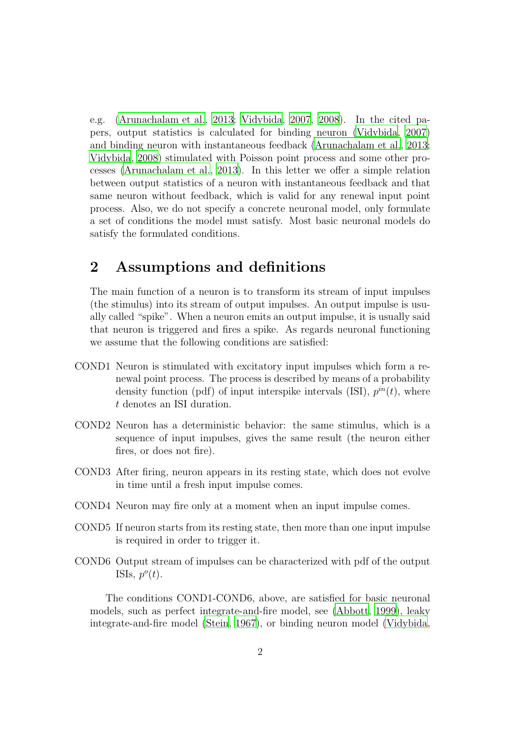e.g. [\(Arunachalam et al.](#page-5-0), [2013;](#page-5-0) [Vidybida](#page-6-1), [2007,](#page-6-1) [2008](#page-6-2)). In the cited papers, output statistics is calculated for binding neuron [\(Vidybida](#page-6-1), [2007\)](#page-6-1) and binding neuron with instantaneous feedback [\(Arunachalam et al., 2013](#page-5-0); [Vidybida, 2008](#page-6-2)) stimulated with Poisson point process and some other processes [\(Arunachalam et al.](#page-5-0), [2013\)](#page-5-0). In this letter we offer a simple relation between output statistics of a neuron with instantaneous feedback and that same neuron without feedback, which is valid for any renewal input point process. Also, we do not specify a concrete neuronal model, only formulate a set of conditions the model must satisfy. Most basic neuronal models do satisfy the formulated conditions.

### 2 Assumptions and definitions

The main function of a neuron is to transform its stream of input impulses (the stimulus) into its stream of output impulses. An output impulse is usually called "spike". When a neuron emits an output impulse, it is usually said that neuron is triggered and fires a spike. As regards neuronal functioning we assume that the following conditions are satisfied:

- COND1 Neuron is stimulated with excitatory input impulses which form a renewal point process. The process is described by means of a probability density function (pdf) of input interspike intervals (ISI),  $p^{in}(t)$ , where t denotes an ISI duration.
- COND2 Neuron has a deterministic behavior: the same stimulus, which is a sequence of input impulses, gives the same result (the neuron either fires, or does not fire).
- COND3 After firing, neuron appears in its resting state, which does not evolve in time until a fresh input impulse comes.
- COND4 Neuron may fire only at a moment when an input impulse comes.
- COND5 If neuron starts from its resting state, then more than one input impulse is required in order to trigger it.
- COND6 Output stream of impulses can be characterized with pdf of the output ISIs,  $p^o(t)$ .

The conditions COND1-COND6, above, are satisfied for basic neuronal models, such as perfect integrate-and-fire model, see [\(Abbott,](#page-5-1) [1999](#page-5-1)), leaky integrate-and-fire model [\(Stein](#page-6-3), [1967](#page-6-3)), or binding neuron model [\(Vidybida](#page-6-1),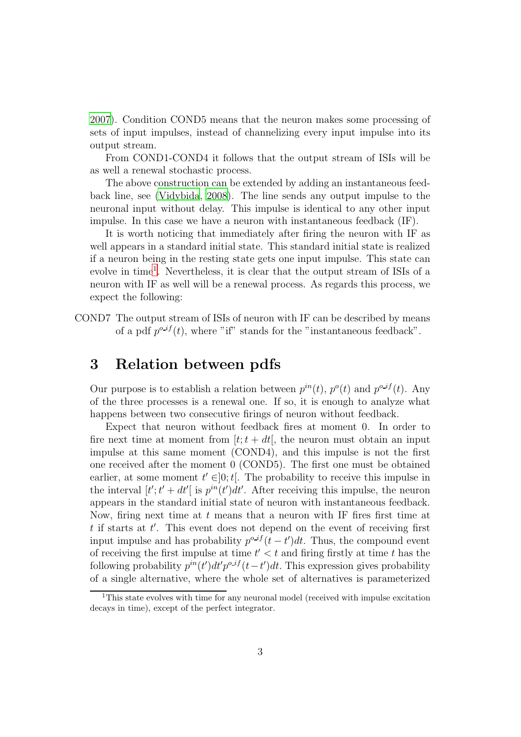[2007](#page-6-1)). Condition COND5 means that the neuron makes some processing of sets of input impulses, instead of channelizing every input impulse into its output stream.

From COND1-COND4 it follows that the output stream of ISIs will be as well a renewal stochastic process.

The above construction can be extended by adding an instantaneous feedback line, see [\(Vidybida](#page-6-2), [2008\)](#page-6-2). The line sends any output impulse to the neuronal input without delay. This impulse is identical to any other input impulse. In this case we have a neuron with instantaneous feedback (IF).

It is worth noticing that immediately after firing the neuron with IF as well appears in a standard initial state. This standard initial state is realized if a neuron being in the resting state gets one input impulse. This state can evolve in time<sup>[1](#page-2-0)</sup>. Nevertheless, it is clear that the output stream of ISIs of a neuron with IF as well will be a renewal process. As regards this process, we expect the following:

COND7 The output stream of ISIs of neuron with IF can be described by means of a pdf  $p^{o\_if}(t)$ , where "if" stands for the "instantaneous feedback".

### 3 Relation between pdfs

Our purpose is to establish a relation between  $p^{in}(t)$ ,  $p^{o}(t)$  and  $p^{o if}(t)$ . Any of the three processes is a renewal one. If so, it is enough to analyze what happens between two consecutive firings of neuron without feedback.

Expect that neuron without feedback fires at moment 0. In order to fire next time at moment from  $[t; t + dt]$ , the neuron must obtain an input impulse at this same moment (COND4), and this impulse is not the first one received after the moment 0 (COND5). The first one must be obtained earlier, at some moment  $t' \in ]0; t[$ . The probability to receive this impulse in the interval  $[t'; t' + dt'$  is  $p^{in}(t')dt'$ . After receiving this impulse, the neuron appears in the standard initial state of neuron with instantaneous feedback. Now, firing next time at  $t$  means that a neuron with IF fires first time at t if starts at t'. This event does not depend on the event of receiving first input impulse and has probability  $p^{o\_if}(t-t')dt$ . Thus, the compound event of receiving the first impulse at time  $t' < t$  and firing firstly at time t has the following probability  $p^{in}(t')dt'p^{o\_if}(t-t')dt$ . This expression gives probability of a single alternative, where the whole set of alternatives is parameterized

<span id="page-2-0"></span><sup>&</sup>lt;sup>1</sup>This state evolves with time for any neuronal model (received with impulse excitation decays in time), except of the perfect integrator.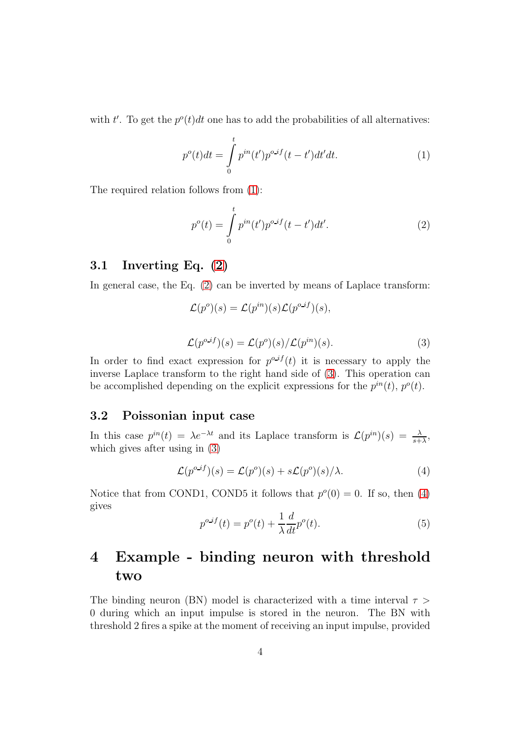with t'. To get the  $p^o(t)dt$  one has to add the probabilities of all alternatives:

<span id="page-3-0"></span>
$$
p^{o}(t)dt = \int_{0}^{t} p^{in}(t')p^{o\_if}(t-t')dt'dt.
$$
 (1)

The required relation follows from [\(1\)](#page-3-0):

<span id="page-3-1"></span>
$$
p^{o}(t) = \int_{0}^{t} p^{in}(t')p^{o\_if}(t-t')dt'.
$$
 (2)

### 3.1 Inverting Eq. [\(2\)](#page-3-1)

In general case, the Eq. [\(2\)](#page-3-1) can be inverted by means of Laplace transform:

$$
\mathcal{L}(p^o)(s) = \mathcal{L}(p^{in})(s)\mathcal{L}(p^{o_if})(s),
$$
  

$$
\mathcal{L}(p^{o_if})(s) = \mathcal{L}(p^o)(s)/\mathcal{L}(p^{in})(s).
$$
 (3)

<span id="page-3-2"></span>In order to find exact expression for  $p^{o}{}^{if}(t)$  it is necessary to apply the inverse Laplace transform to the right hand side of [\(3\)](#page-3-2). This operation can be accomplished depending on the explicit expressions for the  $p^{in}(t)$ ,  $p^{o}(t)$ .

#### 3.2 Poissonian input case

In this case  $p^{in}(t) = \lambda e^{-\lambda t}$  and its Laplace transform is  $\mathcal{L}(p^{in})(s) = \frac{\lambda}{s+\lambda}$ , which gives after using in [\(3\)](#page-3-2)

<span id="page-3-3"></span>
$$
\mathcal{L}(p^{o\_if})(s) = \mathcal{L}(p^o)(s) + s\mathcal{L}(p^o)(s)/\lambda.
$$
 (4)

<span id="page-3-4"></span>Notice that from COND1, COND5 it follows that  $p<sup>o</sup>(0) = 0$ . If so, then [\(4\)](#page-3-3) gives

$$
p^{o\_if}(t) = p^o(t) + \frac{1}{\lambda} \frac{d}{dt} p^o(t).
$$
\n<sup>(5)</sup>

## 4 Example - binding neuron with threshold two

The binding neuron (BN) model is characterized with a time interval  $\tau$ 0 during which an input impulse is stored in the neuron. The BN with threshold 2 fires a spike at the moment of receiving an input impulse, provided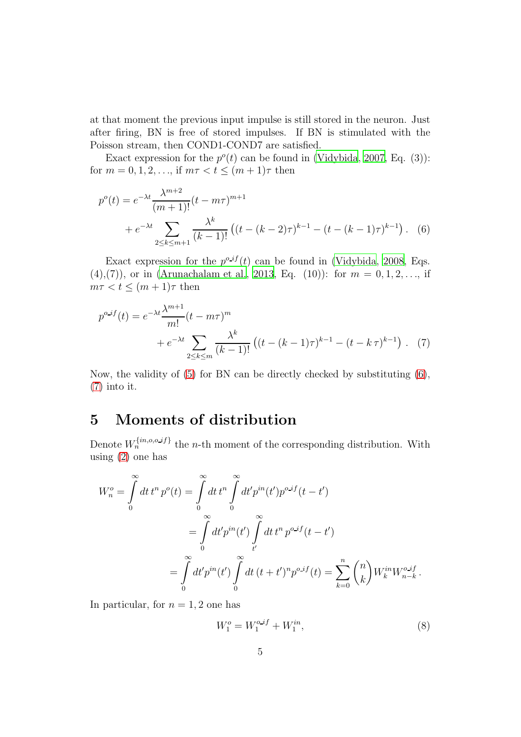at that moment the previous input impulse is still stored in the neuron. Just after firing, BN is free of stored impulses. If BN is stimulated with the Poisson stream, then COND1-COND7 are satisfied.

Exact expression for the  $p^o(t)$  can be found in [\(Vidybida, 2007](#page-6-1), Eq. (3)): for  $m = 0, 1, 2, \ldots$ , if  $m\tau < t \leq (m + 1)\tau$  then

<span id="page-4-0"></span>
$$
p^{o}(t) = e^{-\lambda t} \frac{\lambda^{m+2}}{(m+1)!} (t - m\tau)^{m+1}
$$
  
+ 
$$
e^{-\lambda t} \sum_{2 \le k \le m+1} \frac{\lambda^{k}}{(k-1)!} \left( (t - (k-2)\tau)^{k-1} - (t - (k-1)\tau)^{k-1} \right). \quad (6)
$$

Exact expression for the  $p^{\text{o-}if}(t)$  can be found in [\(Vidybida, 2008](#page-6-2), Eqs.  $(4),(7)$ , or in [\(Arunachalam et al.](#page-5-0), [2013,](#page-5-0) Eq. (10)): for  $m = 0, 1, 2, \ldots$ , if  $m\tau < t \leq (m+1)\tau$  then

<span id="page-4-1"></span>
$$
p^{o\_if}(t) = e^{-\lambda t} \frac{\lambda^{m+1}}{m!} (t - m\tau)^m + e^{-\lambda t} \sum_{2 \le k \le m} \frac{\lambda^k}{(k-1)!} \left( (t - (k-1)\tau)^{k-1} - (t - k\tau)^{k-1} \right). \tag{7}
$$

Now, the validity of [\(5\)](#page-3-4) for BN can be directly checked by substituting [\(6\)](#page-4-0), [\(7\)](#page-4-1) into it.

### 5 Moments of distribution

Denote  $W_n^{\{in, o, o \text{-} if \}}$  the *n*-th moment of the corresponding distribution. With using [\(2\)](#page-3-1) one has

$$
W_n^o = \int_0^\infty dt \, t^n \, p^o(t) = \int_0^\infty dt \, t^n \int_0^\infty dt' p^{in}(t') p^{o \Delta t} (t - t')
$$
  
= 
$$
\int_0^\infty dt' p^{in}(t') \int_t^\infty dt \, t^n \, p^{o \Delta t} (t - t')
$$
  
= 
$$
\int_0^\infty dt' p^{in}(t') \int_0^\infty dt \, (t + t')^n p^{o \Delta t} (t) = \sum_{k=0}^n {n \choose k} W_k^{in} W_{n-k}^{o \Delta t} .
$$

In particular, for  $n = 1, 2$  one has

<span id="page-4-2"></span>
$$
W_1^o = W_1^{o.if} + W_1^{in},\tag{8}
$$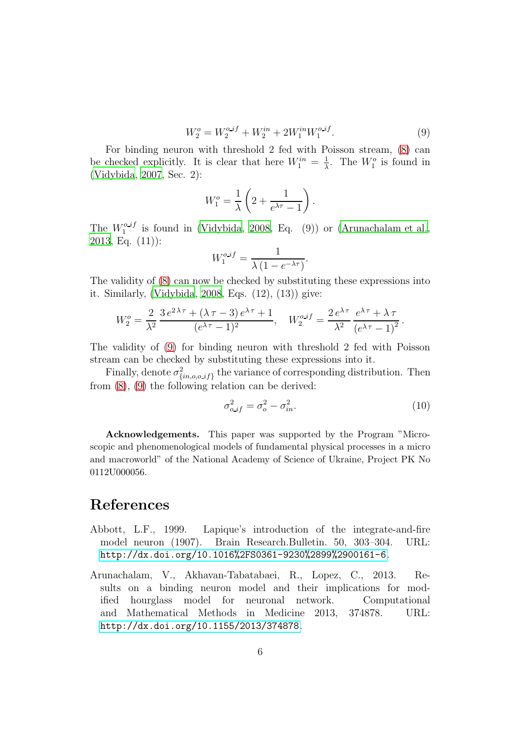$$
W_2^o = W_2^{o.if} + W_2^{in} + 2W_1^{in}W_1^{o.if}.
$$
\n(9)

<span id="page-5-2"></span>For binding neuron with threshold 2 fed with Poisson stream, [\(8\)](#page-4-2) can be checked explicitly. It is clear that here  $W_1^{in} = \frac{1}{\lambda}$  $\frac{1}{\lambda}$ . The  $W_1^o$  is found in [\(Vidybida](#page-6-1), [2007,](#page-6-1) Sec. 2):

$$
W_1^o = \frac{1}{\lambda} \left( 2 + \frac{1}{e^{\lambda \tau} - 1} \right).
$$

The  $W_1^{o\_if}$  is found in [\(Vidybida](#page-6-2), [2008,](#page-6-2) Eq. (9)) or [\(Arunachalam et al.](#page-5-0),  $2013,$  $2013,$  Eq.  $(11)$ :

$$
W_1^{o\_if} = \frac{1}{\lambda \left(1 - e^{-\lambda \tau}\right)}.
$$

The validity of [\(8\)](#page-4-2) can now be checked by substituting these expressions into it. Similarly, [\(Vidybida](#page-6-2), [2008](#page-6-2), Eqs. (12), (13)) give:

$$
W_2^o = \frac{2}{\lambda^2} \frac{3 e^{2\lambda \tau} + (\lambda \tau - 3) e^{\lambda \tau} + 1}{(e^{\lambda \tau} - 1)^2}, \quad W_2^{o.if} = \frac{2 e^{\lambda \tau}}{\lambda^2} \frac{e^{\lambda \tau} + \lambda \tau}{(e^{\lambda \tau} - 1)^2}.
$$

The validity of [\(9\)](#page-5-2) for binding neuron with threshold 2 fed with Poisson stream can be checked by substituting these expressions into it.

Finally, denote  $\sigma_{\ell}^2$  $\{i_{n,o,o}i\}$  the variance of corresponding distribution. Then from [\(8\)](#page-4-2), [\(9\)](#page-5-2) the following relation can be derived:

$$
\sigma_{o\_if}^2 = \sigma_o^2 - \sigma_{in}^2. \tag{10}
$$

Acknowledgements. This paper was supported by the Program "Microscopic and phenomenological models of fundamental physical processes in a micro and macroworld" of the National Academy of Science of Ukraine, Project PK No 0112U000056.

### References

- <span id="page-5-1"></span>Abbott, L.F., 1999. Lapique's introduction of the integrate-and-fire model neuron (1907). Brain Research.Bulletin. 50, 303–304. URL: <http://dx.doi.org/10.1016%2FS0361-9230%2899%2900161-6>.
- <span id="page-5-0"></span>Arunachalam, V., Akhavan-Tabatabaei, R., Lopez, C., 2013. Results on a binding neuron model and their implications for modified hourglass model for neuronal network. Computational and Mathematical Methods in Medicine 2013, 374878. URL: <http://dx.doi.org/10.1155/2013/374878>.